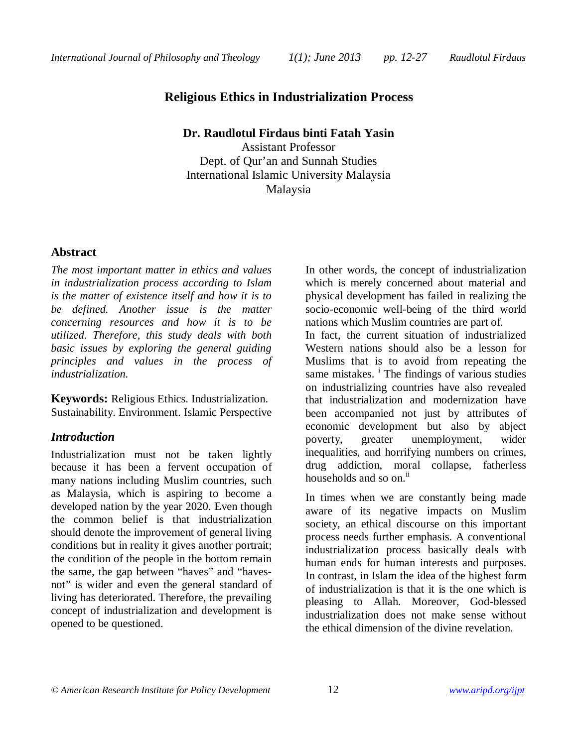# **Religious Ethics in Industrialization Process**

**Dr. Raudlotul Firdaus binti Fatah Yasin**

Assistant Professor Dept. of Qur'an and Sunnah Studies International Islamic University Malaysia Malaysia

### **Abstract**

*The most important matter in ethics and values in industrialization process according to Islam is the matter of existence itself and how it is to be defined. Another issue is the matter concerning resources and how it is to be utilized. Therefore, this study deals with both basic issues by exploring the general guiding principles and values in the process of industrialization.* 

**Keywords:** Religious Ethics. Industrialization. Sustainability. Environment. Islamic Perspective

### *Introduction*

Industrialization must not be taken lightly because it has been a fervent occupation of many nations including Muslim countries, such as Malaysia, which is aspiring to become a developed nation by the year 2020. Even though the common belief is that industrialization should denote the improvement of general living conditions but in reality it gives another portrait; the condition of the people in the bottom remain the same, the gap between "haves" and "havesnot" is wider and even the general standard of living has deteriorated. Therefore, the prevailing concept of industrialization and development is opened to be questioned.

In other words, the concept of industrialization which is merely concerned about material and physical development has failed in realizing the socio-economic well-being of the third world nations which Muslim countries are part of.

In fact, the current situation of industrialized Western nations should also be a lesson for Muslims that is to avoid from repeating the same mistakes. <sup>i</sup> The findings of various studies on industrializing countries have also revealed that industrialization and modernization have been accompanied not just by attributes of economic development but also by abject poverty, greater unemployment, wider inequalities, and horrifying numbers on crimes, drug addiction, moral collapse, fatherless households and so on.<sup>ii</sup>

In times when we are constantly being made aware of its negative impacts on Muslim society, an ethical discourse on this important process needs further emphasis. A conventional industrialization process basically deals with human ends for human interests and purposes. In contrast, in Islam the idea of the highest form of industrialization is that it is the one which is pleasing to Allah. Moreover, God-blessed industrialization does not make sense without the ethical dimension of the divine revelation.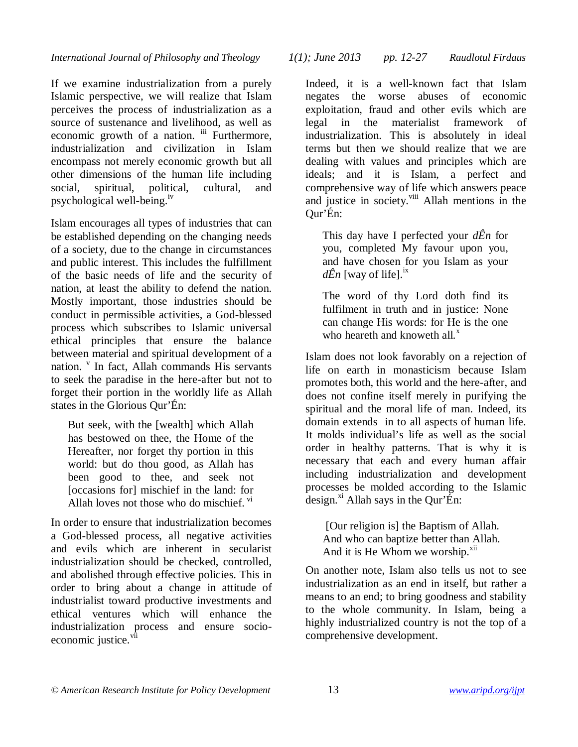*International Journal of Philosophy and Theology 1(1); June 2013 pp. 12-27 Raudlotul Firdaus*

If we examine industrialization from a purely Islamic perspective, we will realize that Islam perceives the process of industrialization as a source of sustenance and livelihood, as well as economic growth of a nation. iii Furthermore, industrialization and civilization in Islam encompass not merely economic growth but all other dimensions of the human life including social, spiritual, political, cultural, and psychological well-being.iv

Islam encourages all types of industries that can be established depending on the changing needs of a society, due to the change in circumstances and public interest. This includes the fulfillment of the basic needs of life and the security of nation, at least the ability to defend the nation. Mostly important, those industries should be conduct in permissible activities, a God-blessed process which subscribes to Islamic universal ethical principles that ensure the balance between material and spiritual development of a nation. <sup>v</sup> In fact, Allah commands His servants to seek the paradise in the here-after but not to forget their portion in the worldly life as Allah states in the Glorious Qur'Én:

But seek, with the [wealth] which Allah has bestowed on thee, the Home of the Hereafter, nor forget thy portion in this world: but do thou good, as Allah has been good to thee, and seek not [occasions for] mischief in the land: for Allah loves not those who do mischief. vi

In order to ensure that industrialization becomes a God-blessed process, all negative activities and evils which are inherent in secularist industrialization should be checked, controlled, and abolished through effective policies. This in order to bring about a change in attitude of industrialist toward productive investments and ethical ventures which will enhance the industrialization process and ensure socioeconomic justice.<sup>vii</sup>

Indeed, it is a well-known fact that Islam negates the worse abuses of economic exploitation, fraud and other evils which are legal in the materialist framework of industrialization. This is absolutely in ideal terms but then we should realize that we are dealing with values and principles which are ideals; and it is Islam, a perfect and comprehensive way of life which answers peace and justice in society.<sup>viii</sup> Allah mentions in the Qur'Én:

This day have I perfected your *dÊn* for you, completed My favour upon you, and have chosen for you Islam as your  $d\hat{E}n$  [way of life].<sup>1X</sup>

The word of thy Lord doth find its fulfilment in truth and in justice: None can change His words: for He is the one who heareth and knoweth all. $^x$ 

Islam does not look favorably on a rejection of life on earth in monasticism because Islam promotes both, this world and the here-after, and does not confine itself merely in purifying the spiritual and the moral life of man. Indeed, its domain extends in to all aspects of human life. It molds individual's life as well as the social order in healthy patterns. That is why it is necessary that each and every human affair including industrialization and development processes be molded according to the Islamic design. $\mathrm{x}$ <sup>xi</sup> Allah says in the Qur'Én:

[Our religion is] the Baptism of Allah. And who can baptize better than Allah. And it is He Whom we worship.<sup>xii</sup>

On another note, Islam also tells us not to see industrialization as an end in itself, but rather a means to an end; to bring goodness and stability to the whole community. In Islam, being a highly industrialized country is not the top of a comprehensive development.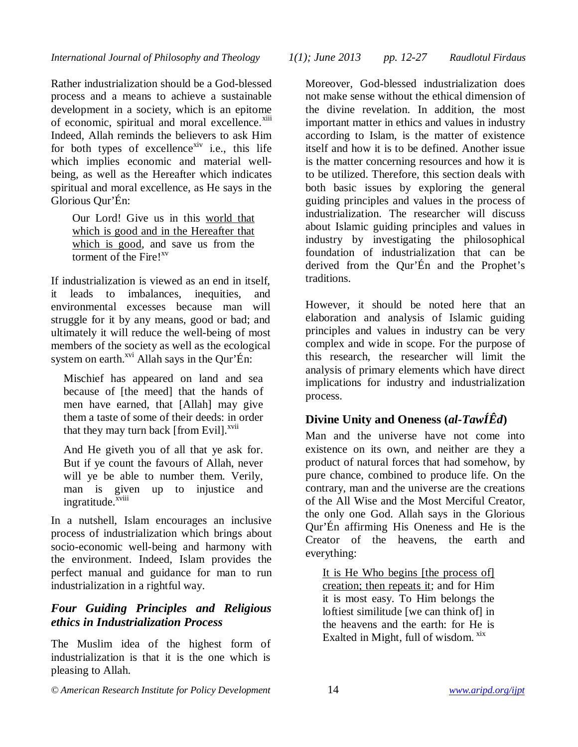Rather industrialization should be a God-blessed process and a means to achieve a sustainable development in a society, which is an epitome of economic, spiritual and moral excellence.<sup>xiii</sup> Indeed, Allah reminds the believers to ask Him for both types of excellence<sup>xiv</sup> i.e., this life which implies economic and material wellbeing, as well as the Hereafter which indicates spiritual and moral excellence, as He says in the Glorious Qur'Én:

Our Lord! Give us in this world that which is good and in the Hereafter that which is good, and save us from the torment of the Fire!<sup>xv</sup>

If industrialization is viewed as an end in itself, it leads to imbalances, inequities, and environmental excesses because man will struggle for it by any means, good or bad; and ultimately it will reduce the well-being of most members of the society as well as the ecological system on earth.<sup>xvi</sup> Allah says in the Qur'Én:

Mischief has appeared on land and sea because of [the meed] that the hands of men have earned, that [Allah] may give them a taste of some of their deeds: in order that they may turn back [from Evil]. $^{xvii}$ 

And He giveth you of all that ye ask for. But if ye count the favours of Allah, never will ye be able to number them. Verily, man is given up to injustice and ingratitude.<sup>xviii</sup>

In a nutshell, Islam encourages an inclusive process of industrialization which brings about socio-economic well-being and harmony with the environment. Indeed, Islam provides the perfect manual and guidance for man to run industrialization in a rightful way.

# *Four Guiding Principles and Religious ethics in Industrialization Process*

The Muslim idea of the highest form of industrialization is that it is the one which is pleasing to Allah.

*International Journal of Philosophy and Theology 1(1); June 2013 pp. 12-27 Raudlotul Firdaus*

Moreover, God-blessed industrialization does not make sense without the ethical dimension of the divine revelation. In addition, the most important matter in ethics and values in industry according to Islam, is the matter of existence itself and how it is to be defined. Another issue is the matter concerning resources and how it is to be utilized. Therefore, this section deals with both basic issues by exploring the general guiding principles and values in the process of industrialization. The researcher will discuss about Islamic guiding principles and values in industry by investigating the philosophical foundation of industrialization that can be derived from the Qur'Én and the Prophet's traditions.

However, it should be noted here that an elaboration and analysis of Islamic guiding principles and values in industry can be very complex and wide in scope. For the purpose of this research, the researcher will limit the analysis of primary elements which have direct implications for industry and industrialization process.

# **Divine Unity and Oneness (***al-TawÍÊd***)**

Man and the universe have not come into existence on its own, and neither are they a product of natural forces that had somehow, by pure chance, combined to produce life. On the contrary, man and the universe are the creations of the All Wise and the Most Merciful Creator, the only one God. Allah says in the Glorious Qur'Én affirming His Oneness and He is the Creator of the heavens, the earth and everything:

It is He Who begins [the process of] creation; then repeats it; and for Him it is most easy. To Him belongs the loftiest similitude [we can think of] in the heavens and the earth: for He is Exalted in Might, full of wisdom. <sup>xix</sup>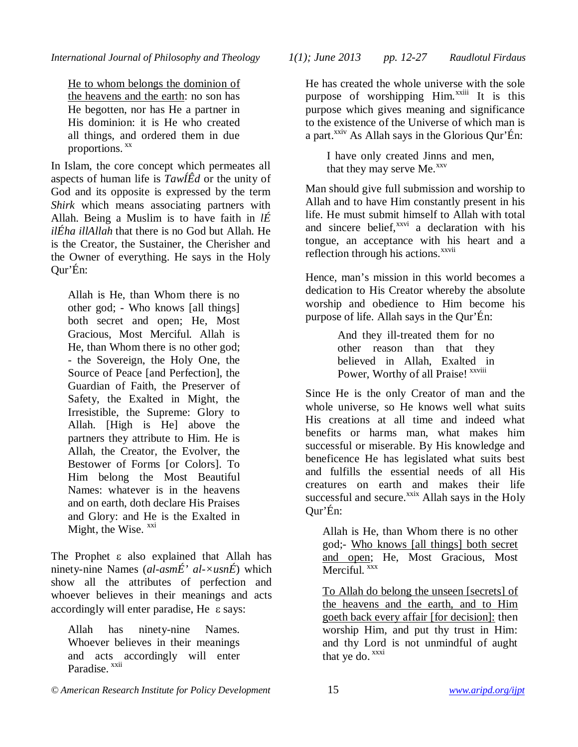He to whom belongs the dominion of the heavens and the earth: no son has He begotten, nor has He a partner in His dominion: it is He who created all things, and ordered them in due proportions. <sup>xx</sup>

In Islam, the core concept which permeates all aspects of human life is *TawÍÊd* or the unity of God and its opposite is expressed by the term *Shirk* which means associating partners with Allah. Being a Muslim is to have faith in *lÉ ilÉha illAllah* that there is no God but Allah. He is the Creator, the Sustainer, the Cherisher and the Owner of everything. He says in the Holy Qur'Én:

Allah is He, than Whom there is no other god; - Who knows [all things] both secret and open; He, Most Gracious, Most Merciful. Allah is He, than Whom there is no other god; - the Sovereign, the Holy One, the Source of Peace [and Perfection], the Guardian of Faith, the Preserver of Safety, the Exalted in Might, the Irresistible, the Supreme: Glory to Allah. [High is He] above the partners they attribute to Him. He is Allah, the Creator, the Evolver, the Bestower of Forms [or Colors]. To Him belong the Most Beautiful Names: whatever is in the heavens and on earth, doth declare His Praises and Glory: and He is the Exalted in Might, the Wise.  $\frac{xxi}{x}$ 

The Prophet  $\varepsilon$  also explained that Allah has ninety-nine Names (*al-asmÉ' al-×usnÉ*) which show all the attributes of perfection and whoever believes in their meanings and acts accordingly will enter paradise, He  $\varepsilon$  says:

Allah has ninety-nine Names. Whoever believes in their meanings and acts accordingly will enter Paradise xxii

He has created the whole universe with the sole purpose of worshipping  $\text{Him.}^{x}$  It is this purpose which gives meaning and significance to the existence of the Universe of which man is a part. $^{xxiv}$  As Allah says in the Glorious Qur'Én:

I have only created Jinns and men, that they may serve  $Me<sub>xxy</sub>$ 

Man should give full submission and worship to Allah and to have Him constantly present in his life. He must submit himself to Allah with total and sincere belief,<sup>xxvi</sup> a declaration with his tongue, an acceptance with his heart and a reflection through his actions.<sup>xxvii</sup>

Hence, man's mission in this world becomes a dedication to His Creator whereby the absolute worship and obedience to Him become his purpose of life. Allah says in the Qur'Én:

> And they ill-treated them for no other reason than that they believed in Allah, Exalted in Power, Worthy of all Praise! xxviii

Since He is the only Creator of man and the whole universe, so He knows well what suits His creations at all time and indeed what benefits or harms man, what makes him successful or miserable. By His knowledge and beneficence He has legislated what suits best and fulfills the essential needs of all His creatures on earth and makes their life successful and secure.<sup>xxix</sup> Allah says in the Holy Qur'Én:

Allah is He, than Whom there is no other god;- Who knows [all things] both secret and open; He, Most Gracious, Most Merciful.<sup>xxx</sup>

To Allah do belong the unseen [secrets] of the heavens and the earth, and to Him goeth back every affair [for decision]: then worship Him, and put thy trust in Him: and thy Lord is not unmindful of aught that ye do.  $\frac{xxxi}{x}$ 

*© American Research Institute for Policy Development* 15 *www.aripd.org/ijpt*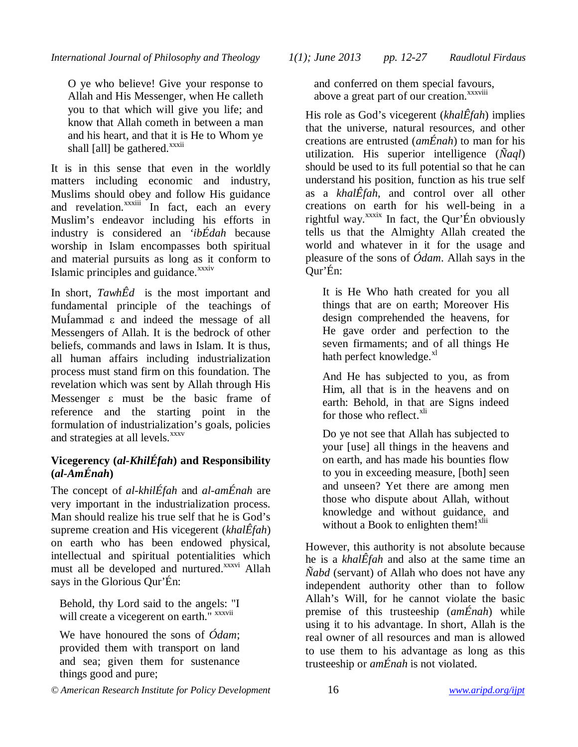O ye who believe! Give your response to Allah and His Messenger, when He calleth you to that which will give you life; and know that Allah cometh in between a man and his heart, and that it is He to Whom ye shall [all] be gathered. $\frac{xx}{x}$ 

It is in this sense that even in the worldly matters including economic and industry, Muslims should obey and follow His guidance and revelation.<sup>xxxiii</sup> In fact, each an every Muslim's endeavor including his efforts in industry is considered an *'ibÉdah* because worship in Islam encompasses both spiritual and material pursuits as long as it conform to Islamic principles and guidance.<sup>xxxiv</sup>

In short, *TawhÊd* is the most important and fundamental principle of the teachings of MuÍammad  $\varepsilon$  and indeed the message of all Messengers of Allah. It is the bedrock of other beliefs, commands and laws in Islam. It is thus, all human affairs including industrialization process must stand firm on this foundation. The revelation which was sent by Allah through His Messenger  $\varepsilon$  must be the basic frame of reference and the starting point in the formulation of industrialization's goals, policies and strategies at all levels.<sup>xxxv</sup>

### **Vicegerency (***al-KhilÉfah***) and Responsibility (***al-AmÉnah***)**

The concept of *al-khilÉfah* and *al-amÉnah* are very important in the industrialization process. Man should realize his true self that he is God's supreme creation and His vicegerent (*khalÊfah*) on earth who has been endowed physical, intellectual and spiritual potentialities which must all be developed and nurtured.<sup>xxxvi</sup> Allah says in the Glorious Qur'Én:

Behold, thy Lord said to the angels: "I will create a vicegerent on earth." *xxxvii* 

We have honoured the sons of *Ódam*; provided them with transport on land and sea; given them for sustenance things good and pure;

*© American Research Institute for Policy Development* 16 *www.aripd.org/ijpt*

*International Journal of Philosophy and Theology 1(1); June 2013 pp. 12-27 Raudlotul Firdaus*

and conferred on them special favours, above a great part of our creation.<sup>xxxviii</sup>

His role as God's vicegerent (*khalÊfah*) implies that the universe, natural resources, and other creations are entrusted (*amÉnah*) to man for his utilization. His superior intelligence (*Ñaql*) should be used to its full potential so that he can understand his position, function as his true self as a *khalÊfah*, and control over all other creations on earth for his well-being in a rightful way. $x$ <sup>xxxix</sup> In fact, the Qur'Én obviously tells us that the Almighty Allah created the world and whatever in it for the usage and pleasure of the sons of *Ódam*. Allah says in the Qur'Én:

It is He Who hath created for you all things that are on earth; Moreover His design comprehended the heavens, for He gave order and perfection to the seven firmaments; and of all things He hath perfect knowledge. $x<sup>1</sup>$ 

And He has subjected to you, as from Him, all that is in the heavens and on earth: Behold, in that are Signs indeed for those who reflect.<sup>xli</sup>

Do ye not see that Allah has subjected to your [use] all things in the heavens and on earth, and has made his bounties flow to you in exceeding measure, [both] seen and unseen? Yet there are among men those who dispute about Allah, without knowledge and without guidance, and without a Book to enlighten them!<sup>xlii</sup>

However, this authority is not absolute because he is a *khalÊfah* and also at the same time an *Ñabd* (servant) of Allah who does not have any independent authority other than to follow Allah's Will, for he cannot violate the basic premise of this trusteeship (*amÉnah*) while using it to his advantage. In short, Allah is the real owner of all resources and man is allowed to use them to his advantage as long as this trusteeship or *amÉnah* is not violated.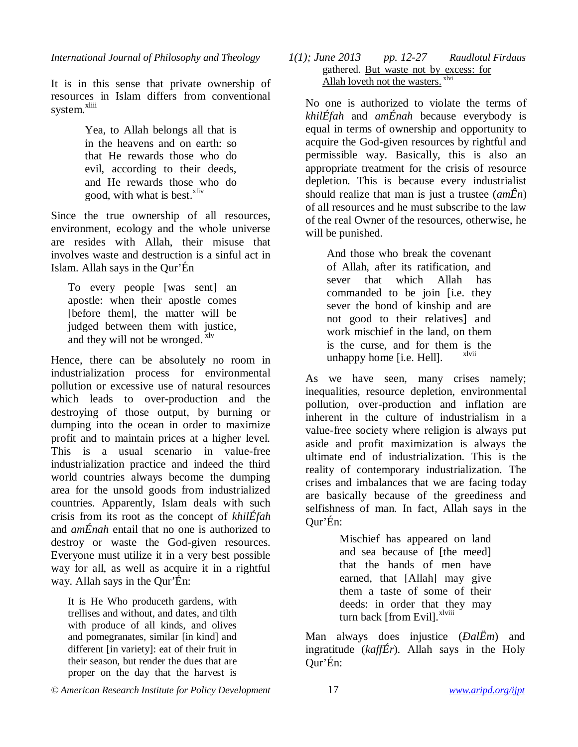It is in this sense that private ownership of resources in Islam differs from conventional system.<sup>xliii</sup>

> Yea, to Allah belongs all that is in the heavens and on earth: so that He rewards those who do evil, according to their deeds, and He rewards those who do good, with what is best.<sup>xliv</sup>

Since the true ownership of all resources, environment, ecology and the whole universe are resides with Allah, their misuse that involves waste and destruction is a sinful act in Islam. Allah says in the Qur'Én

To every people [was sent] an apostle: when their apostle comes [before them], the matter will be judged between them with justice, and they will not be wronged.  $x^{\text{dv}}$ 

Hence, there can be absolutely no room in industrialization process for environmental pollution or excessive use of natural resources which leads to over-production and the destroying of those output, by burning or dumping into the ocean in order to maximize profit and to maintain prices at a higher level. This is a usual scenario in value-free industrialization practice and indeed the third world countries always become the dumping area for the unsold goods from industrialized countries. Apparently, Islam deals with such crisis from its root as the concept of *khilÉfah*  and *amÉnah* entail that no one is authorized to destroy or waste the God-given resources. Everyone must utilize it in a very best possible way for all, as well as acquire it in a rightful way. Allah says in the Qur'Én:

It is He Who produceth gardens, with trellises and without, and dates, and tilth with produce of all kinds, and olives and pomegranates, similar [in kind] and different [in variety]: eat of their fruit in their season, but render the dues that are proper on the day that the harvest is

#### *International Journal of Philosophy and Theology 1(1); June 2013 pp. 12-27 Raudlotul Firdaus* gathered. But waste not by excess: for Allah loveth not the wasters. <sup>xlvi</sup>

No one is authorized to violate the terms of *khilÉfah* and *amÉnah* because everybody is equal in terms of ownership and opportunity to acquire the God-given resources by rightful and permissible way. Basically, this is also an appropriate treatment for the crisis of resource depletion. This is because every industrialist should realize that man is just a trustee (*amÊn*) of all resources and he must subscribe to the law of the real Owner of the resources, otherwise, he will be punished.

And those who break the covenant of Allah, after its ratification, and sever that which Allah has commanded to be join [i.e. they sever the bond of kinship and are not good to their relatives] and work mischief in the land, on them is the curse, and for them is the unhappy home  $[i.e.$  Hell $]$ .

As we have seen, many crises namely; inequalities, resource depletion, environmental pollution, over-production and inflation are inherent in the culture of industrialism in a value-free society where religion is always put aside and profit maximization is always the ultimate end of industrialization. This is the reality of contemporary industrialization. The crises and imbalances that we are facing today are basically because of the greediness and selfishness of man. In fact, Allah says in the Qur'Én:

> Mischief has appeared on land and sea because of [the meed] that the hands of men have earned, that [Allah] may give them a taste of some of their deeds: in order that they may turn back [from Evil].<sup>xlviii</sup>

Man always does injustice (*ÐalËm*) and ingratitude (*kaffÉr*). Allah says in the Holy Qur'Én:

*© American Research Institute for Policy Development* 17 *www.aripd.org/ijpt*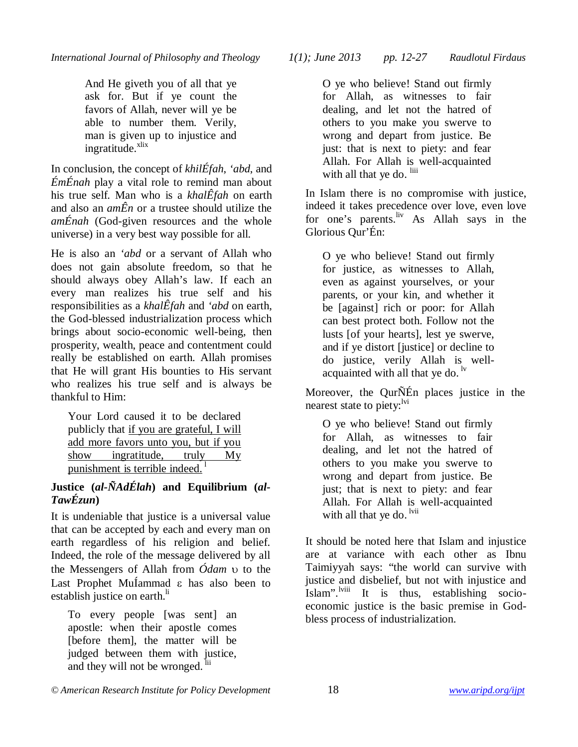And He giveth you of all that ye ask for. But if ye count the favors of Allah, never will ye be able to number them. Verily, man is given up to injustice and  $in$ gratitude. $x$ lix

In conclusion, the concept of *khilÉfah*, *'abd*, and *ÉmÉnah* play a vital role to remind man about his true self. Man who is a *khalÊfah* on earth and also an *amÊn* or a trustee should utilize the *amÉnah* (God-given resources and the whole universe) in a very best way possible for all.

He is also an *'abd* or a servant of Allah who does not gain absolute freedom, so that he should always obey Allah's law. If each an every man realizes his true self and his responsibilities as a *khalÊfah* and *'abd* on earth, the God-blessed industrialization process which brings about socio-economic well-being, then prosperity, wealth, peace and contentment could really be established on earth. Allah promises that He will grant His bounties to His servant who realizes his true self and is always be thankful to Him:

Your Lord caused it to be declared publicly that if you are grateful, I will add more favors unto you, but if you show ingratitude, truly My punishment is terrible indeed.<sup>1</sup>

### **Justice (***al-ÑAdÉlah***) and Equilibrium (***al-TawÉzun***)**

It is undeniable that justice is a universal value that can be accepted by each and every man on earth regardless of his religion and belief. Indeed, the role of the message delivered by all the Messengers of Allah from  $\acute{O}$ *dam*  $\upsilon$  to the Last Prophet MuÍammad  $\varepsilon$  has also been to establish justice on earth.<sup>li</sup>

To every people [was sent] an apostle: when their apostle comes [before them], the matter will be judged between them with justice, and they will not be wronged. <sup>lii</sup>

O ye who believe! Stand out firmly for Allah, as witnesses to fair dealing, and let not the hatred of others to you make you swerve to wrong and depart from justice. Be just: that is next to piety: and fear Allah. For Allah is well-acquainted with all that ye do. liii

In Islam there is no compromise with justice, indeed it takes precedence over love, even love for one's parents.<sup>liv</sup> As Allah says in the Glorious Qur'Én:

O ye who believe! Stand out firmly for justice, as witnesses to Allah, even as against yourselves, or your parents, or your kin, and whether it be [against] rich or poor: for Allah can best protect both. Follow not the lusts [of your hearts], lest ye swerve, and if ye distort [justice] or decline to do justice, verily Allah is wellacquainted with all that ye do.  $\frac{dv}{dx}$ 

Moreover, the QurÑÉn places justice in the nearest state to piety: $\frac{iv_i}{v}$ 

O ye who believe! Stand out firmly for Allah, as witnesses to fair dealing, and let not the hatred of others to you make you swerve to wrong and depart from justice. Be just; that is next to piety: and fear Allah. For Allah is well-acquainted with all that ye do. <sup>lvii</sup>

It should be noted here that Islam and injustice are at variance with each other as Ibnu Taimiyyah says: "the world can survive with justice and disbelief, but not with injustice and Islam".<sup>lviii</sup> It is thus, establishing socioeconomic justice is the basic premise in Godbless process of industrialization.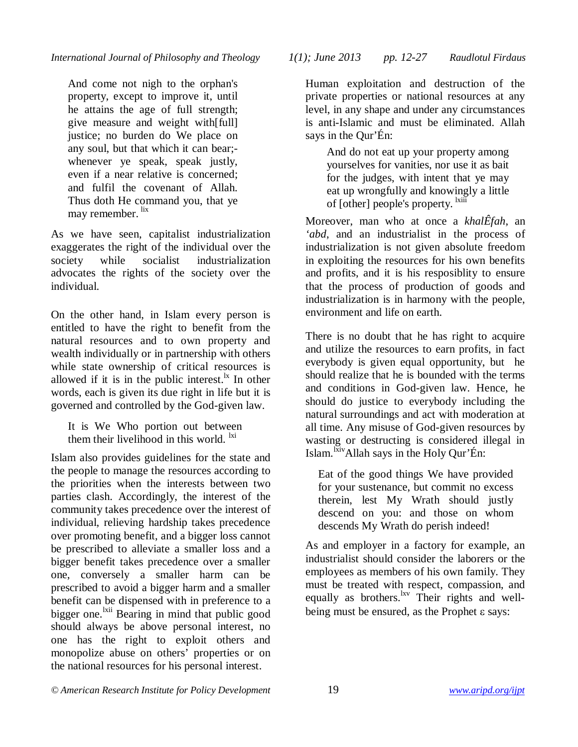And come not nigh to the orphan's property, except to improve it, until he attains the age of full strength; give measure and weight with[full] justice; no burden do We place on any soul, but that which it can bear; whenever ye speak, speak justly, even if a near relative is concerned; and fulfil the covenant of Allah. Thus doth He command you, that ye may remember. lix

As we have seen, capitalist industrialization exaggerates the right of the individual over the society while socialist industrialization advocates the rights of the society over the individual.

On the other hand, in Islam every person is entitled to have the right to benefit from the natural resources and to own property and wealth individually or in partnership with others while state ownership of critical resources is allowed if it is in the public interest.<sup>1x</sup> In other words, each is given its due right in life but it is governed and controlled by the God-given law.

It is We Who portion out between them their livelihood in this world.  $\frac{ixi}{x}$ 

Islam also provides guidelines for the state and the people to manage the resources according to the priorities when the interests between two parties clash. Accordingly, the interest of the community takes precedence over the interest of individual, relieving hardship takes precedence over promoting benefit, and a bigger loss cannot be prescribed to alleviate a smaller loss and a bigger benefit takes precedence over a smaller one, conversely a smaller harm can be prescribed to avoid a bigger harm and a smaller benefit can be dispensed with in preference to a bigger one.<sup>lxii</sup> Bearing in mind that public good should always be above personal interest, no one has the right to exploit others and monopolize abuse on others' properties or on the national resources for his personal interest.

*© American Research Institute for Policy Development* 19 *www.aripd.org/ijpt*

*International Journal of Philosophy and Theology 1(1); June 2013 pp. 12-27 Raudlotul Firdaus*

Human exploitation and destruction of the private properties or national resources at any level, in any shape and under any circumstances is anti-Islamic and must be eliminated. Allah says in the Qur'Én:

And do not eat up your property among yourselves for vanities, nor use it as bait for the judges, with intent that ye may eat up wrongfully and knowingly a little of [other] people's property. <sup>1xiii</sup>

Moreover, man who at once a *khalÊfah*, an *'abd*, and an industrialist in the process of industrialization is not given absolute freedom in exploiting the resources for his own benefits and profits, and it is his resposiblity to ensure that the process of production of goods and industrialization is in harmony with the people, environment and life on earth.

There is no doubt that he has right to acquire and utilize the resources to earn profits, in fact everybody is given equal opportunity, but he should realize that he is bounded with the terms and conditions in God-given law. Hence, he should do justice to everybody including the natural surroundings and act with moderation at all time. Any misuse of God-given resources by wasting or destructing is considered illegal in Islam.<sup>Ixiv</sup>Allah says in the Holy Qur'Én:

Eat of the good things We have provided for your sustenance, but commit no excess therein, lest My Wrath should justly descend on you: and those on whom descends My Wrath do perish indeed!

As and employer in a factory for example, an industrialist should consider the laborers or the employees as members of his own family. They must be treated with respect, compassion, and equally as brothers.<sup>lxv</sup> Their rights and wellbeing must be ensured, as the Prophet  $\varepsilon$  says: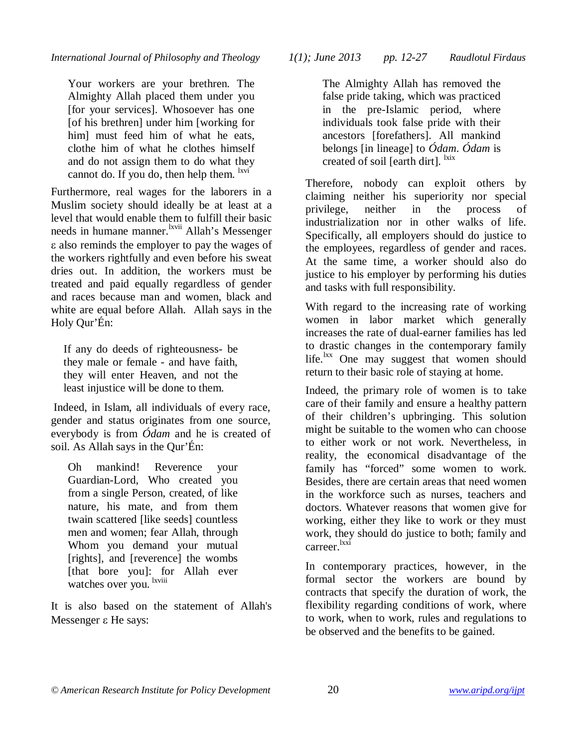Your workers are your brethren. The Almighty Allah placed them under you [for your services]. Whosoever has one [of his brethren] under him [working for him] must feed him of what he eats, clothe him of what he clothes himself and do not assign them to do what they cannot do. If you do, then help them.  $\frac{1}{x}$ <sup>lxvi</sup>

Furthermore, real wages for the laborers in a Muslim society should ideally be at least at a level that would enable them to fulfill their basic needs in humane manner.<sup>lxvii</sup> Allah's Messenger also reminds the employer to pay the wages of the workers rightfully and even before his sweat dries out. In addition, the workers must be treated and paid equally regardless of gender and races because man and women, black and white are equal before Allah. Allah says in the Holy Qur'Én:

If any do deeds of righteousness- be they male or female - and have faith, they will enter Heaven, and not the least injustice will be done to them.

Indeed, in Islam, all individuals of every race, gender and status originates from one source, everybody is from *Ódam* and he is created of soil. As Allah says in the Qur'Én:

Oh mankind! Reverence your Guardian-Lord, Who created you from a single Person, created, of like nature, his mate, and from them twain scattered [like seeds] countless men and women; fear Allah, through Whom you demand your mutual [rights], and [reverence] the wombs [that bore you]: for Allah ever watches over you. <sup>lxviii</sup>

It is also based on the statement of Allah's Messenger  $\varepsilon$  He says:

*International Journal of Philosophy and Theology 1(1); June 2013 pp. 12-27 Raudlotul Firdaus*

The Almighty Allah has removed the false pride taking, which was practiced in the pre-Islamic period, where individuals took false pride with their ancestors [forefathers]. All mankind belongs [in lineage] to *Ódam*. *Ódam* is created of soil [earth dirt]. <sup>lxix</sup>

Therefore, nobody can exploit others by claiming neither his superiority nor special privilege, neither in the process of industrialization nor in other walks of life. Specifically, all employers should do justice to the employees, regardless of gender and races. At the same time, a worker should also do justice to his employer by performing his duties and tasks with full responsibility.

With regard to the increasing rate of working women in labor market which generally increases the rate of dual-earner families has led to drastic changes in the contemporary family life.<sup>lxx</sup> One may suggest that women should return to their basic role of staying at home.

Indeed, the primary role of women is to take care of their family and ensure a healthy pattern of their children's upbringing. This solution might be suitable to the women who can choose to either work or not work. Nevertheless, in reality, the economical disadvantage of the family has "forced" some women to work. Besides, there are certain areas that need women in the workforce such as nurses, teachers and doctors. Whatever reasons that women give for working, either they like to work or they must work, they should do justice to both; family and carreer.<sup>lxxi</sup>

In contemporary practices, however, in the formal sector the workers are bound by contracts that specify the duration of work, the flexibility regarding conditions of work, where to work, when to work, rules and regulations to be observed and the benefits to be gained.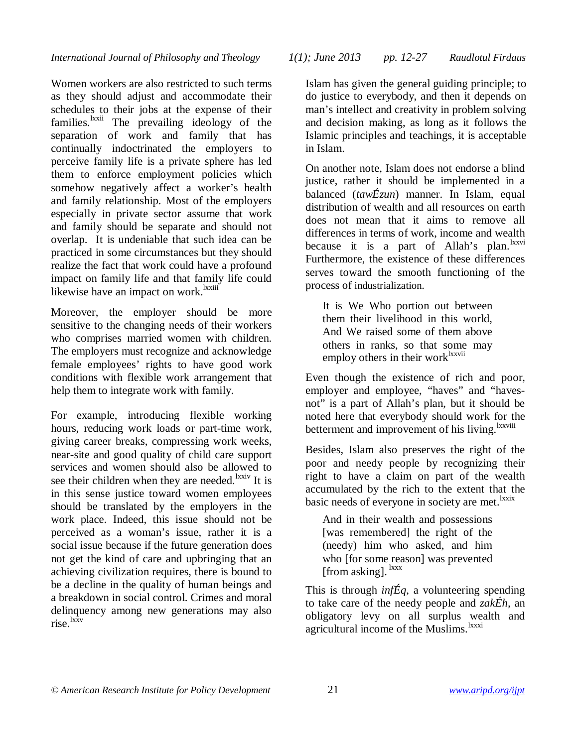Women workers are also restricted to such terms as they should adjust and accommodate their schedules to their jobs at the expense of their families.<sup>lxxii</sup> The prevailing ideology of the separation of work and family that has continually indoctrinated the employers to perceive family life is a private sphere has led them to enforce employment policies which somehow negatively affect a worker's health and family relationship. Most of the employers especially in private sector assume that work and family should be separate and should not overlap. It is undeniable that such idea can be practiced in some circumstances but they should realize the fact that work could have a profound impact on family life and that family life could likewise have an impact on work.<sup>Ixxiii</sup>

Moreover, the employer should be more sensitive to the changing needs of their workers who comprises married women with children. The employers must recognize and acknowledge female employees' rights to have good work conditions with flexible work arrangement that help them to integrate work with family.

For example, introducing flexible working hours, reducing work loads or part-time work, giving career breaks, compressing work weeks, near-site and good quality of child care support services and women should also be allowed to see their children when they are needed.<sup>lxxiv</sup> It is in this sense justice toward women employees should be translated by the employers in the work place. Indeed, this issue should not be perceived as a woman's issue, rather it is a social issue because if the future generation does not get the kind of care and upbringing that an achieving civilization requires, there is bound to be a decline in the quality of human beings and a breakdown in social control. Crimes and moral delinquency among new generations may also rise.lxxv

*International Journal of Philosophy and Theology 1(1); June 2013 pp. 12-27 Raudlotul Firdaus*

Islam has given the general guiding principle; to do justice to everybody, and then it depends on man's intellect and creativity in problem solving and decision making, as long as it follows the Islamic principles and teachings, it is acceptable in Islam.

On another note, Islam does not endorse a blind justice, rather it should be implemented in a balanced (*tawÉzun*) manner. In Islam, equal distribution of wealth and all resources on earth does not mean that it aims to remove all differences in terms of work, income and wealth because it is a part of Allah's plan.  $\frac{lxxv}{l}$ Furthermore, the existence of these differences serves toward the smooth functioning of the process of industrialization.

It is We Who portion out between them their livelihood in this world, And We raised some of them above others in ranks, so that some may employ others in their work ${}^{lxxvii}$ 

Even though the existence of rich and poor, employer and employee, "haves" and "havesnot" is a part of Allah's plan, but it should be noted here that everybody should work for the betterment and improvement of his living.<sup>lxxviii</sup>

Besides, Islam also preserves the right of the poor and needy people by recognizing their right to have a claim on part of the wealth accumulated by the rich to the extent that the basic needs of everyone in society are met.<sup>1xxix</sup>

And in their wealth and possessions [was remembered] the right of the (needy) him who asked, and him who [for some reason] was prevented [from asking].  $\frac{lxxx}{l}$ 

This is through *infÉq*, a volunteering spending to take care of the needy people and *zakÉh,* an obligatory levy on all surplus wealth and agricultural income of the Muslims.<sup>lxxxi</sup>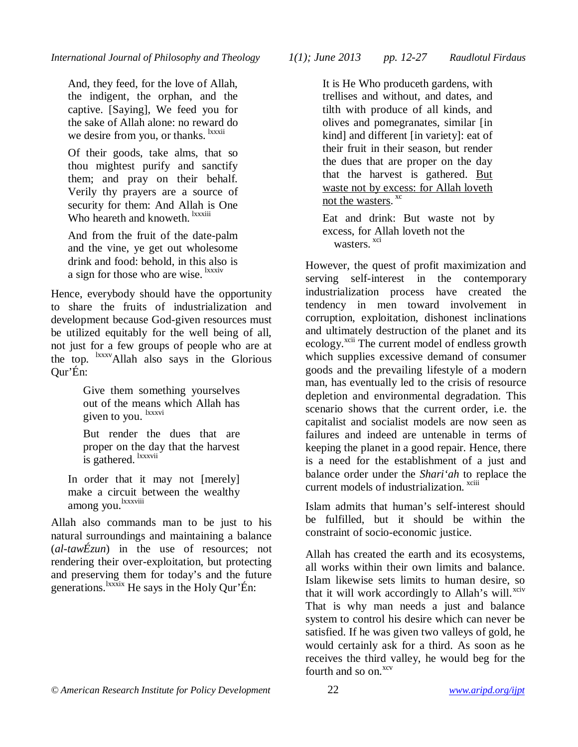And, they feed, for the love of Allah, the indigent, the orphan, and the captive. [Saying], We feed you for the sake of Allah alone: no reward do we desire from you, or thanks. <sup>Ixxxii</sup>

Of their goods, take alms, that so thou mightest purify and sanctify them; and pray on their behalf. Verily thy prayers are a source of security for them: And Allah is One Who heareth and knoweth. <sup>Ixxxiii</sup>

And from the fruit of the date-palm and the vine, ye get out wholesome drink and food: behold, in this also is a sign for those who are wise. <sup>lxxxiv</sup>

Hence, everybody should have the opportunity to share the fruits of industrialization and development because God-given resources must be utilized equitably for the well being of all, not just for a few groups of people who are at the top. lxxxvAllah also says in the Glorious Qur'Én:

> Give them something yourselves out of the means which Allah has given to you. <sup>lxxxvi</sup>

But render the dues that are proper on the day that the harvest is gathered. <sup>lxxxvii</sup>

In order that it may not [merely] make a circuit between the wealthy among you.<sup>lxxxviii</sup>

Allah also commands man to be just to his natural surroundings and maintaining a balance (*al-tawÉzun*) in the use of resources; not rendering their over-exploitation, but protecting and preserving them for today's and the future generations.<sup>lxxxix</sup> He says in the Holy Qur'Én:

*© American Research Institute for Policy Development* 22 *www.aripd.org/ijpt*

*International Journal of Philosophy and Theology 1(1); June 2013 pp. 12-27 Raudlotul Firdaus*

It is He Who produceth gardens, with trellises and without, and dates, and tilth with produce of all kinds, and olives and pomegranates, similar [in kind] and different [in variety]: eat of their fruit in their season, but render the dues that are proper on the day that the harvest is gathered. But waste not by excess: for Allah loveth not the wasters.<sup>xc</sup>

Eat and drink: But waste not by excess, for Allah loveth not the wasters.<sup>xci</sup>

However, the quest of profit maximization and serving self-interest in the contemporary industrialization process have created the tendency in men toward involvement in corruption, exploitation, dishonest inclinations and ultimately destruction of the planet and its ecology.<sup>xcii</sup> The current model of endless growth which supplies excessive demand of consumer goods and the prevailing lifestyle of a modern man, has eventually led to the crisis of resource depletion and environmental degradation. This scenario shows that the current order, i.e. the capitalist and socialist models are now seen as failures and indeed are untenable in terms of keeping the planet in a good repair. Hence, there is a need for the establishment of a just and balance order under the *Shari'ah* to replace the current models of industrialization.<sup>xciii</sup>

Islam admits that human's self-interest should be fulfilled, but it should be within the constraint of socio-economic justice.

Allah has created the earth and its ecosystems, all works within their own limits and balance. Islam likewise sets limits to human desire, so that it will work accordingly to Allah's will.<sup>xciv</sup> That is why man needs a just and balance system to control his desire which can never be satisfied. If he was given two valleys of gold, he would certainly ask for a third. As soon as he receives the third valley, he would beg for the fourth and so on.<sup>xcv</sup>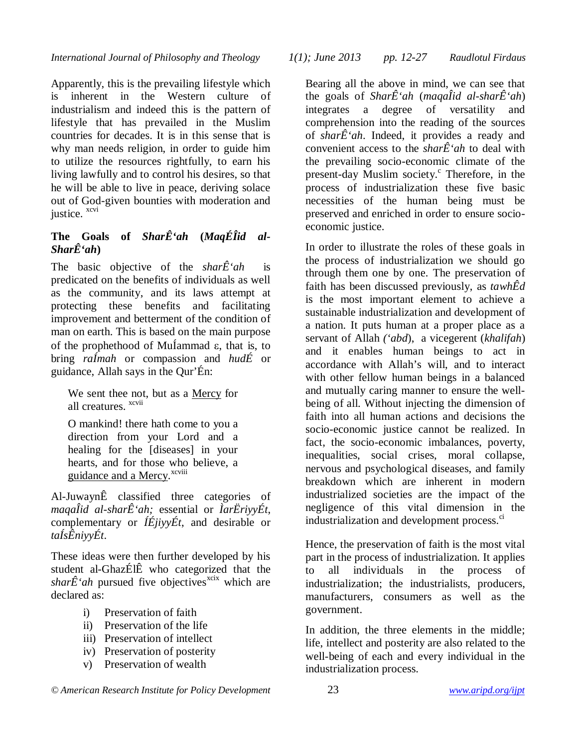Apparently, this is the prevailing lifestyle which is inherent in the Western culture of industrialism and indeed this is the pattern of lifestyle that has prevailed in the Muslim countries for decades. It is in this sense that is why man needs religion, in order to guide him to utilize the resources rightfully, to earn his living lawfully and to control his desires, so that he will be able to live in peace, deriving solace out of God-given bounties with moderation and justice. xcvi

### The Goals of *SharÊ'ah* (*MaqÉÎid al-SharÊ*<sup>'ah</sup>)

The basic objective of the *shar*Ê *ah* is predicated on the benefits of individuals as well as the community, and its laws attempt at protecting these benefits and facilitating improvement and betterment of the condition of man on earth. This is based on the main purpose of the prophethood of Mu<sub>l</sub>ammad  $\varepsilon$ , that is, to bring *raÍmah* or compassion and *hudÉ* or guidance, Allah says in the Qur'Én:

We sent thee not, but as a Mercy for all creatures. <sup>xcvii</sup>

O mankind! there hath come to you a direction from your Lord and a healing for the [diseases] in your hearts, and for those who believe, a guidance and a Mercy.<sup>xcviii</sup>

Al-JuwaynÊ classified three categories of *maqaÎid al-sharÊ'ah;* essential or *ÌarËriyyÉt*, complementary or *ÍÉjiyyÉt*, and desirable or *taÍsÊniyyÉt*.

These ideas were then further developed by his student al-GhazÉlÊ who categorized that the  $\hat{f}$ '*ah* pursued five objectives<sup>xcix</sup> which are declared as:

- i) Preservation of faith
- ii) Preservation of the life
- iii) Preservation of intellect
- iv) Preservation of posterity
- v) Preservation of wealth

*International Journal of Philosophy and Theology 1(1); June 2013 pp. 12-27 Raudlotul Firdaus*

Bearing all the above in mind, we can see that the goals of *SharÊ'ah* (*magaÎid al-sharÊ'ah*) integrates a degree of versatility and comprehension into the reading of the sources of *shar* $\hat{E}$ '*ah*. Indeed, it provides a ready and convenient access to the *shar* $\hat{E}$ '*ah* to deal with the prevailing socio-economic climate of the present-day Muslim society.<sup>c</sup> Therefore, in the process of industrialization these five basic necessities of the human being must be preserved and enriched in order to ensure socioeconomic justice.

In order to illustrate the roles of these goals in the process of industrialization we should go through them one by one. The preservation of faith has been discussed previously, as *tawhÊd*  is the most important element to achieve a sustainable industrialization and development of a nation. It puts human at a proper place as a servant of Allah *('abd*), a vicegerent (*khalifah*) and it enables human beings to act in accordance with Allah's will, and to interact with other fellow human beings in a balanced and mutually caring manner to ensure the wellbeing of all. Without injecting the dimension of faith into all human actions and decisions the socio-economic justice cannot be realized. In fact, the socio-economic imbalances, poverty, inequalities, social crises, moral collapse, nervous and psychological diseases, and family breakdown which are inherent in modern industrialized societies are the impact of the negligence of this vital dimension in the industrialization and development process.<sup>ci</sup>

Hence, the preservation of faith is the most vital part in the process of industrialization. It applies to all individuals in the process of industrialization; the industrialists, producers, manufacturers, consumers as well as the government.

In addition, the three elements in the middle; life, intellect and posterity are also related to the well-being of each and every individual in the industrialization process.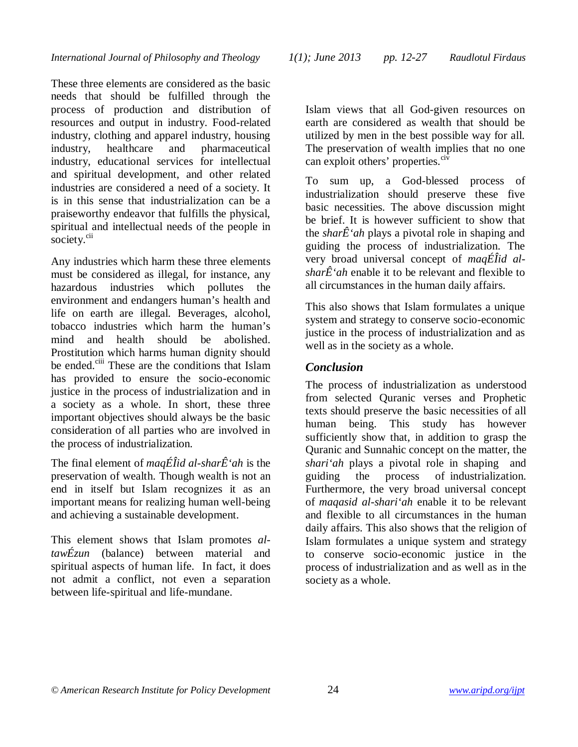These three elements are considered as the basic needs that should be fulfilled through the process of production and distribution of resources and output in industry. Food-related industry, clothing and apparel industry, housing industry, healthcare and pharmaceutical industry, educational services for intellectual and spiritual development, and other related industries are considered a need of a society. It is in this sense that industrialization can be a praiseworthy endeavor that fulfills the physical, spiritual and intellectual needs of the people in society.<sup>cii</sup>

Any industries which harm these three elements must be considered as illegal, for instance, any hazardous industries which pollutes the environment and endangers human's health and life on earth are illegal. Beverages, alcohol, tobacco industries which harm the human's mind and health should be abolished. Prostitution which harms human dignity should be ended.<sup>ciii</sup> These are the conditions that Islam has provided to ensure the socio-economic justice in the process of industrialization and in a society as a whole. In short, these three important objectives should always be the basic consideration of all parties who are involved in the process of industrialization.

The final element of *maqÉÎid al-sharÊ'ah* is the preservation of wealth. Though wealth is not an end in itself but Islam recognizes it as an important means for realizing human well-being and achieving a sustainable development.

This element shows that Islam promotes *altawÉzun* (balance) between material and spiritual aspects of human life. In fact, it does not admit a conflict, not even a separation between life-spiritual and life-mundane.

Islam views that all God-given resources on earth are considered as wealth that should be utilized by men in the best possible way for all. The preservation of wealth implies that no one can exploit others' properties.<sup>civ</sup>

To sum up, a God-blessed process of industrialization should preserve these five basic necessities. The above discussion might be brief. It is however sufficient to show that the *shar* $\hat{E}$ '*ah* plays a pivotal role in shaping and guiding the process of industrialization. The very broad universal concept of *maqÉÎid alshar* $\hat{E}$ '*ah* enable it to be relevant and flexible to all circumstances in the human daily affairs.

This also shows that Islam formulates a unique system and strategy to conserve socio-economic justice in the process of industrialization and as well as in the society as a whole.

# *Conclusion*

The process of industrialization as understood from selected Quranic verses and Prophetic texts should preserve the basic necessities of all human being. This study has however sufficiently show that, in addition to grasp the Quranic and Sunnahic concept on the matter, the *shari'ah* plays a pivotal role in shaping and guiding the process of industrialization. Furthermore, the very broad universal concept of *maqasid al-shari'ah* enable it to be relevant and flexible to all circumstances in the human daily affairs. This also shows that the religion of Islam formulates a unique system and strategy to conserve socio-economic justice in the process of industrialization and as well as in the society as a whole.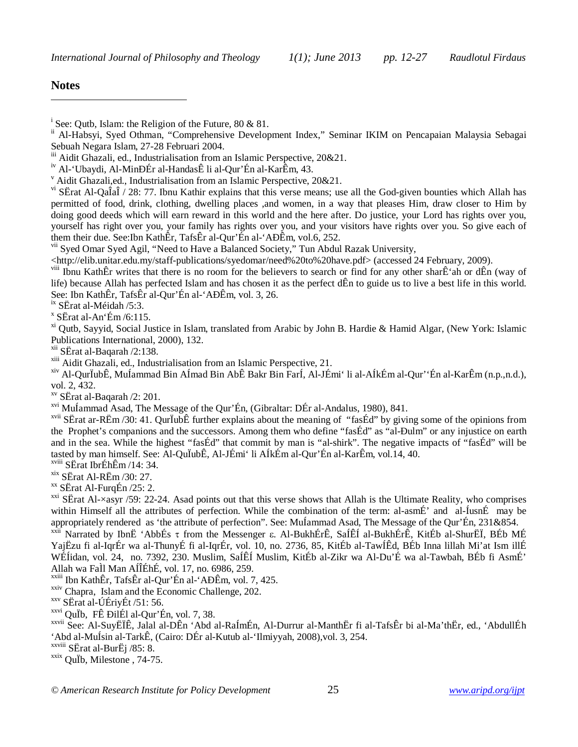*International Journal of Philosophy and Theology 1(1); June 2013 pp. 12-27 Raudlotul Firdaus*

#### **Notes**

 $\overline{a}$ 

vii Syed Omar Syed Agil, "Need to Have a Balanced Society," Tun Abdul Razak University,

<http://elib.unitar.edu.my/staff-publications/syedomar/need%20to%20have.pdf> (accessed 24 February, 2009).

viii Ibnu KathÊr writes that there is no room for the believers to search or find for any other sharÊ'ah or dÊn (way of life) because Allah has perfected Islam and has chosen it as the perfect dÊn to guide us to live a best life in this world. See: Ibn KathÊr, TafsÊr al-Qur'Én al-'AÐÊm, vol. 3, 26.

<sup>ix</sup> SËrat al-Méidah /5:3.

 $\overline{X}$  SËrat al-An'Ém /6:115.

<sup>xi</sup> Outb. Savvid, Social Justice in Islam, translated from Arabic by John B. Hardie & Hamid Algar, (New York: Islamic Publications International, 2000), 132.

xii SËrat al-Baqarah /2:138.

xiii Aidit Ghazali, ed., Industrialisation from an Islamic Perspective, 21.

xiv Al-QurÏubÊ, MuÍammad Bin AÍmad Bin AbÊ Bakr Bin FarÍ, Al-JÉmi' li al-AÍkÉm al-Qur''Én al-KarÊm (n.p.,n.d.), vol. 2, 432.

xv SËrat al-Baqarah /2: 201.

xvi MuÍammad Asad, The Message of the Qur'Én, (Gibraltar: DÉr al-Andalus, 1980), 841.

xvii SËrat ar-RËm /30: 41. QurÏubÊ further explains about the meaning of "fasÉd" by giving some of the opinions from the Prophet's companions and the successors. Among them who define "fasÉd" as "al-Ðulm" or any injustice on earth and in the sea. While the highest "fasÉd" that commit by man is "al-shirk". The negative impacts of "fasÉd" will be tasted by man himself. See: Al-QuÏubÊ, Al-JÉmi' li AÍkÉm al-Qur'Én al-KarÊm, vol.14, 40.

xviii SËrat IbrÉhÊm /14: 34.

 $x$ <sup>xix</sup> SËrat Al-RËm /30: 27.

xx SËrat Al-FurqÉn /25: 2.

 $xxi$  SËrat Al- $\times$ asyr /59: 22-24. Asad points out that this verse shows that Allah is the Ultimate Reality, who comprises within Himself all the attributes of perfection. While the combination of the term: al-asmÉ' and al-ÍusnÉ may be appropriately rendered as 'the attribute of perfection". See: MuÍammad Asad, The Message of the Qur'Én, 231&854.

xxii Narrated by IbnË 'AbbÉs τ from the Messenger ε. Al-BukhÉrÊ, SaÍÊÍ al-BukhÉrÊ, KitÉb al-ShurËÏ, BÉb MÉ YajËzu fi al-IqrÉr wa al-ThunyÉ fi al-IqrÉr, vol. 10, no. 2736, 85, KitÉb al-TawÍÊd, BÉb Inna lillah Mi'at Ism illÉ WÉÍidan, vol. 24, no. 7392, 230. Muslim, SaÍÊÍ Muslim, KitÉb al-Zikr wa Al-Du'É wa al-Tawbah, BÉb fi AsmÉ' Allah wa FaÌl Man AÍÎÉhÉ, vol. 17, no. 6986, 259.

xxiii Ibn KathÊr, TafsÊr al-Qur'Én al-'AÐÊm, vol. 7, 425.

xxiv Chapra, Islam and the Economic Challenge, 202.

xxv SËrat al-ÚÉriyÉt /51: 56.

 $x$ <sup>xxvi</sup> Qu<sup>T</sup>b, FÊ ĐilÉl al-Qur'Én, vol. 7, 38.

xxvii See: Al-SuyËÏÊ, Jalal al-DÊn 'Abd al-RaÍmÉn, Al-Durrur al-ManthËr fi al-TafsÊr bi al-Ma'thËr, ed., 'AbdullÉh 'Abd al-MuÍsin al-TarkÊ, (Cairo: DÉr al-Kutub al-'Ilmiyyah, 2008),vol. 3, 254.

xxix QuÏb, Milestone , 74-75.

<sup>&</sup>lt;sup>i</sup> See: Qutb, Islam: the Religion of the Future, 80 & 81.

Al-Habsyi, Syed Othman, "Comprehensive Development Index," Seminar IKIM on Pencapaian Malaysia Sebagai Sebuah Negara Islam, 27-28 Februari 2004.

Aidit Ghazali, ed., Industrialisation from an Islamic Perspective, 20&21.

iv Al-'Ubaydi, Al-MinÐÉr al-HandasÊ li al-Qur'Én al-KarÊm, 43.

<sup>v</sup> Aidit Ghazali,ed., Industrialisation from an Islamic Perspective, 20&21.

 $v<sup>i</sup>$  SËrat Al-QaÎaÎ / 28: 77. Ibnu Kathir explains that this verse means; use all the God-given bounties which Allah has permitted of food, drink, clothing, dwelling places ,and women, in a way that pleases Him, draw closer to Him by doing good deeds which will earn reward in this world and the here after. Do justice, your Lord has rights over you, yourself has right over you, your family has rights over you, and your visitors have rights over you. So give each of them their due. See:Ibn KathÊr, TafsÊr al-Qur'Én al-'AÐÊm, vol.6, 252.

xxviii SËrat al-BurËj /85: 8.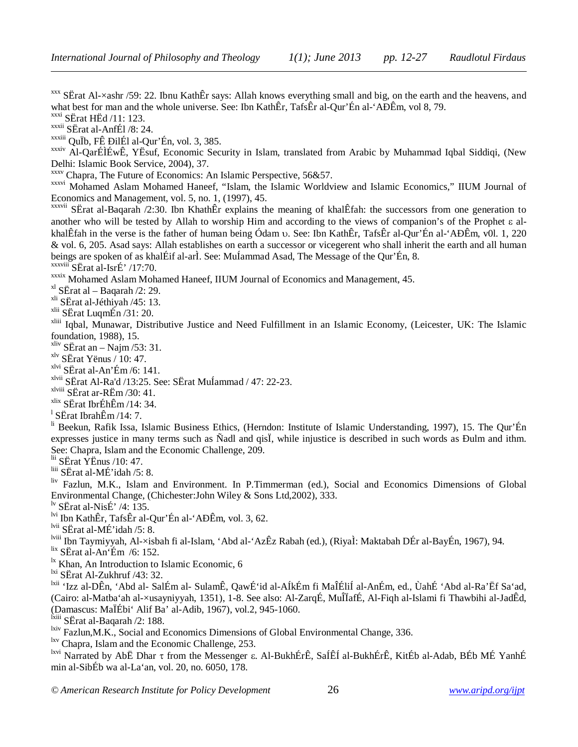$xxx$  SËrat Al- $\times$ ashr /59: 22. Ibnu KathÊr says: Allah knows everything small and big, on the earth and the heavens, and what best for man and the whole universe. See: Ibn KathÊr, TafsÊr al-Qur'Én al-'AĐÊm, vol 8, 79.

 $\overline{\text{xxxi}}$  SErat HEd /11: 123.

 $\overline{a}$ 

xxxii SËrat al-AnfÉl /8: 24.

 $x$ <sup>xxxiii</sup> QuÏb, FÊ ĐilÉl al-Qur'Én, vol. 3, 385.

xxxiv Al-QarÉÌÉwÊ, YËsuf, Economic Security in Islam, translated from Arabic by Muhammad Iqbal Siddiqi, (New Delhi: Islamic Book Service, 2004), 37.

xxxv Chapra, The Future of Economics: An Islamic Perspective, 56&57.

xxxvi Mohamed Aslam Mohamed Haneef, "Islam, the Islamic Worldview and Islamic Economics," IIUM Journal of Economics and Management, vol. 5, no. 1, (1997), 45.

xxxvii SËrat al-Baqarah /2:30. Ibn KhathÊr explains the meaning of khalÊfah: the successors from one generation to another who will be tested by Allah to worship Him and according to the views of companion's of the Prophet  $\varepsilon$  alkhalÊfah in the verse is the father of human being Ódam v. See: Ibn KathÊr, TafsÊr al-Qur'Én al-'AĐÊm, v0l. 1, 220 & vol. 6, 205. Asad says: Allah establishes on earth a successor or vicegerent who shall inherit the earth and all human beings are spoken of as khalÉif al-arÌ. See: MuÍammad Asad, The Message of the Qur'Én, 8. xxxviii SËrat al-IsrÉ' /17:70.

xxxix Mohamed Aslam Mohamed Haneef, IIUM Journal of Economics and Management, 45.

 $x$ <sup>xl</sup> SËrat al – Baqarah /2: 29.

xli SËrat al-Jéthiyah /45: 13.

xlii SËrat LuqmÉn /31: 20.

xliii Iqbal, Munawar, Distributive Justice and Need Fulfillment in an Islamic Economy, (Leicester, UK: The Islamic foundation, 1988), 15.

 $x$ liv SËrat an – Najm /53: 31.

xlv SËrat Yënus / 10: 47.

xlvi SËrat al-An'Ém /6: 141.

 $x^{\text{1vii}}$  S $\text{E}$ rat Al-Ra'd /13:25. See: S $\text{E}$ rat Mu $\text{I}$ ammad / 47: 22-23.

xlviii SËrat ar-RËm /30: 41.

 $x$ lix SËrat IbrÉhÊm /14: 34.

 $^{1}$  SËrat IbrahÊm /14: 7.

li Beekun, Rafik Issa, Islamic Business Ethics, (Herndon: Institute of Islamic Understanding, 1997), 15. The Qur'Én expresses justice in many terms such as Ñadl and qisÏ, while injustice is described in such words as Ðulm and ithm. See: Chapra, Islam and the Economic Challenge, 209.

 $\frac{\text{lii}}{\text{Si}}$  SËrat YËnus /10: 47.

 $\overline{\text{liii}}$  SErat al-MÉ'idah /5: 8.

liv Fazlun, M.K., Islam and Environment. In P.Timmerman (ed.), Social and Economics Dimensions of Global Environmental Change, (Chichester:John Wiley & Sons Ltd,2002), 333.

<sup>lv</sup> SËrat al-NisÉ' /4: 135.

lvi Ibn KathÊr, TafsÊr al-Qur'Én al-'AÐÊm, vol. 3, 62.

lvii SËrat al-MÉ'idah /5: 8.

lviii Ibn Taymiyyah, Al-×isbah fi al-Islam, 'Abd al-'AzÊz Rabah (ed.), (RiyaÌ: Maktabah DÉr al-BayÉn, 1967), 94.

lix SËrat al-An'Ém /6: 152.

<sup>1x</sup> Khan, An Introduction to Islamic Economic, 6

<sup>lxi</sup> SËrat Al-Zukhruf /43: 32.

lxii 'Izz al-DÊn, 'Abd al- SalÉm al- SulamÊ, QawÉ'id al-AÍkÉm fi MaÎÉliÍ al-AnÉm, ed., ÙahÉ 'Abd al-Ra'Ëf Sa'ad, (Cairo: al-Matba'ah al-×usayniyyah, 1351), 1-8. See also: Al-ZarqÉ, MuÎÏafÉ, Al-Fiqh al-Islami fi Thawbihi al-JadÊd, (Damascus: MaÏÉbi' Alif Ba' al-Adib, 1967), vol.2, 945-1060.

lxiii SËrat al-Baqarah /2: 188.

<sup>lxiv</sup> Fazlun, M.K., Social and Economics Dimensions of Global Environmental Change, 336.

lxv Chapra, Islam and the Economic Challenge, 253.

lxvi Narrated by AbË Dhar  $\tau$  from the Messenger  $\varepsilon$ . Al-BukhÉrÊ, SaÍÊÍ al-BukhÉrÊ, KitÉb al-Adab, BÉb MÉ YanhÉ min al-SibÉb wa al-La'an, vol. 20, no. 6050, 178.

*© American Research Institute for Policy Development* 26 *www.aripd.org/ijpt*